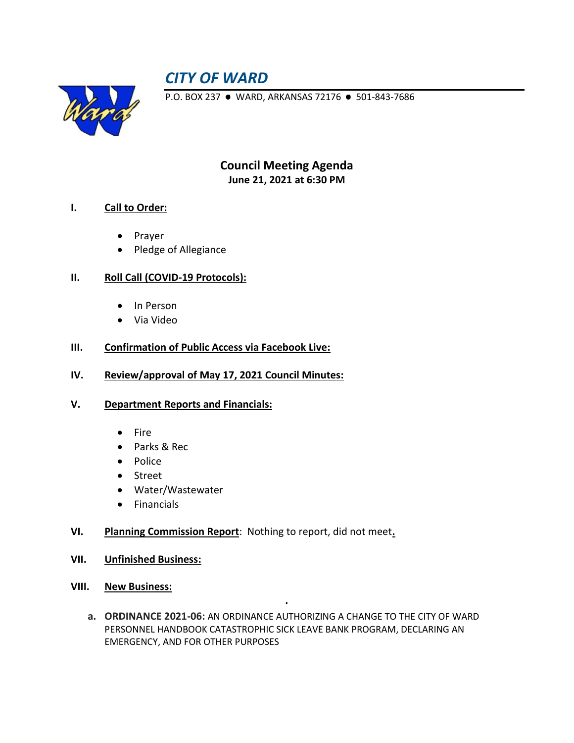# *CITY OF WARD*



P.O. BOX 237 · WARD, ARKANSAS 72176 · 501-843-7686

**Council Meeting Agenda June 21, 2021 at 6:30 PM**

# **I. Call to Order:**

- Prayer
- Pledge of Allegiance

# **II. Roll Call (COVID-19 Protocols):**

- In Person
- Via Video

#### **III. Confirmation of Public Access via Facebook Live:**

**IV. Review/approval of May 17, 2021 Council Minutes:**

#### **V. Department Reports and Financials:**

- Fire
- Parks & Rec
- Police
- Street
- Water/Wastewater
- Financials
- **VI. Planning Commission Report**: Nothing to report, did not meet**.**
- **VII. Unfinished Business:**
- **VIII. New Business:** 
	- **a. ORDINANCE 2021-06:** AN ORDINANCE AUTHORIZING A CHANGE TO THE CITY OF WARD PERSONNEL HANDBOOK CATASTROPHIC SICK LEAVE BANK PROGRAM, DECLARING AN EMERGENCY, AND FOR OTHER PURPOSES

**.**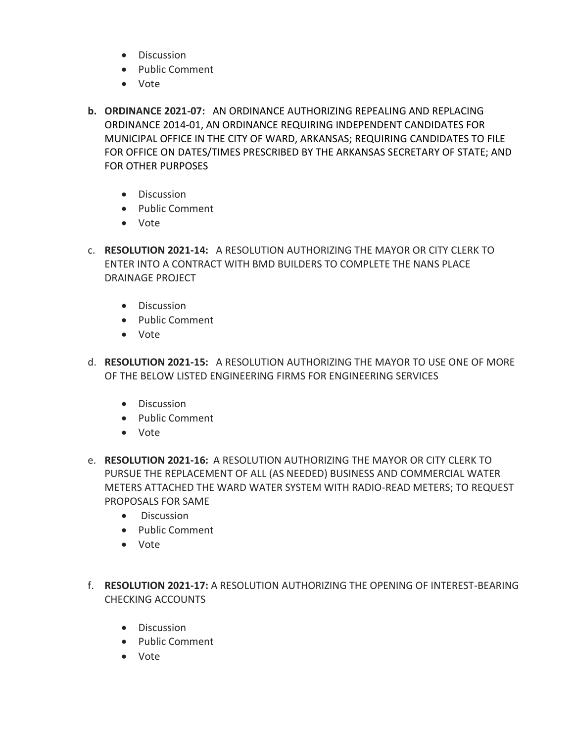- Discussion
- Public Comment
- Vote
- **b. ORDINANCE 2021-07:** AN ORDINANCE AUTHORIZING REPEALING AND REPLACING ORDINANCE 2014-01, AN ORDINANCE REQUIRING INDEPENDENT CANDIDATES FOR MUNICIPAL OFFICE IN THE CITY OF WARD, ARKANSAS; REQUIRING CANDIDATES TO FILE FOR OFFICE ON DATES/TIMES PRESCRIBED BY THE ARKANSAS SECRETARY OF STATE; AND FOR OTHER PURPOSES
	- Discussion
	- Public Comment
	- Vote
- c. **RESOLUTION 2021-14:** A RESOLUTION AUTHORIZING THE MAYOR OR CITY CLERK TO ENTER INTO A CONTRACT WITH BMD BUILDERS TO COMPLETE THE NANS PLACE DRAINAGE PROJECT
	- Discussion
	- Public Comment
	- Vote
- d. **RESOLUTION 2021-15:** A RESOLUTION AUTHORIZING THE MAYOR TO USE ONE OF MORE OF THE BELOW LISTED ENGINEERING FIRMS FOR ENGINEERING SERVICES
	- Discussion
	- Public Comment
	- Vote
- e. **RESOLUTION 2021-16:** A RESOLUTION AUTHORIZING THE MAYOR OR CITY CLERK TO PURSUE THE REPLACEMENT OF ALL (AS NEEDED) BUSINESS AND COMMERCIAL WATER METERS ATTACHED THE WARD WATER SYSTEM WITH RADIO-READ METERS; TO REQUEST PROPOSALS FOR SAME
	- Discussion
	- Public Comment
	- Vote
- f. **RESOLUTION 2021-17:** A RESOLUTION AUTHORIZING THE OPENING OF INTEREST-BEARING CHECKING ACCOUNTS
	- Discussion
	- Public Comment
	- Vote